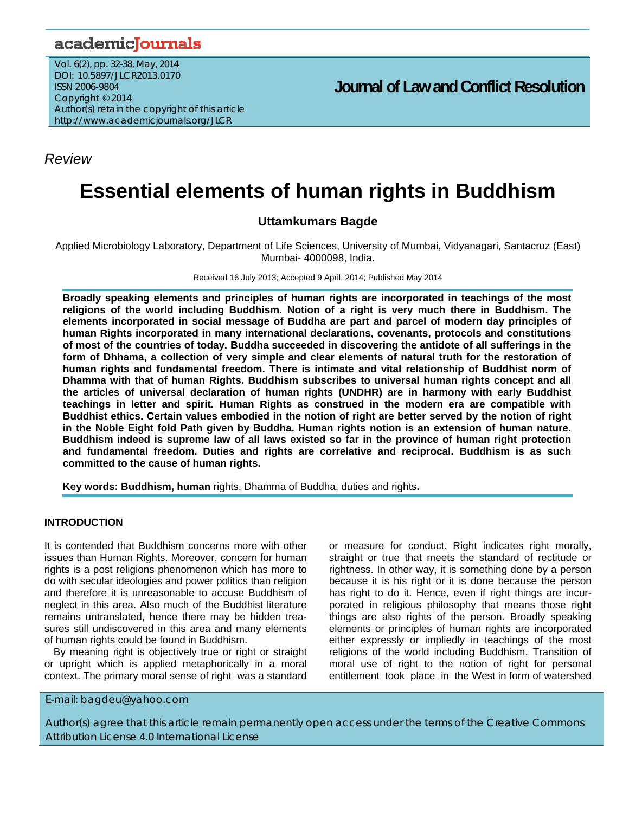# academicJournals

Vol. 6(2), pp. 32-38, May, 2014 DOI: 10.5897/JLCR2013.0170 ISSN 2006-9804 Copyright © 2014 Author(s) retain the copyright of this article http://www.academicjournals.org/JLCR

**Journal of Law and Conflict Resolution**

*Review* 

# **Essential elements of human rights in Buddhism**

# **Uttamkumars Bagde**

Applied Microbiology Laboratory, Department of Life Sciences, University of Mumbai, Vidyanagari, Santacruz (East) Mumbai- 4000098, India.

Received 16 July 2013; Accepted 9 April, 2014; Published May 2014

**Broadly speaking elements and principles of human rights are incorporated in teachings of the most religions of the world including Buddhism. Notion of a right is very much there in Buddhism. The elements incorporated in social message of Buddha are part and parcel of modern day principles of human Rights incorporated in many international declarations, covenants, protocols and constitutions of most of the countries of today. Buddha succeeded in discovering the antidote of all sufferings in the form of Dhhama, a collection of very simple and clear elements of natural truth for the restoration of human rights and fundamental freedom. There is intimate and vital relationship of Buddhist norm of Dhamma with that of human Rights. Buddhism subscribes to universal human rights concept and all the articles of universal declaration of human rights (UNDHR) are in harmony with early Buddhist teachings in letter and spirit. Human Rights as construed in the modern era are compatible with Buddhist ethics. Certain values embodied in the notion of right are better served by the notion of right in the Noble Eight fold Path given by Buddha. Human rights notion is an extension of human nature. Buddhism indeed is supreme law of all laws existed so far in the province of human right protection and fundamental freedom. Duties and rights are correlative and reciprocal. Buddhism is as such committed to the cause of human rights.** 

**Key words: Buddhism, human** rights, Dhamma of Buddha, duties and rights**.**

### **INTRODUCTION**

It is contended that Buddhism concerns more with other issues than Human Rights. Moreover, concern for human rights is a post religions phenomenon which has more to do with secular ideologies and power politics than religion and therefore it is unreasonable to accuse Buddhism of neglect in this area. Also much of the Buddhist literature remains untranslated, hence there may be hidden treasures still undiscovered in this area and many elements of human rights could be found in Buddhism.

By meaning right is objectively true or right or straight or upright which is applied metaphorically in a moral context. The primary moral sense of right was a standard or measure for conduct. Right indicates right morally, straight or true that meets the standard of rectitude or rightness. In other way, it is something done by a person because it is his right or it is done because the person has right to do it. Hence, even if right things are incurporated in religious philosophy that means those right things are also rights of the person. Broadly speaking elements or principles of human rights are incorporated either expressly or impliedly in teachings of the most religions of the world including Buddhism. Transition of moral use of right to the notion of right for personal entitlement took place in the West in form of watershed

E-mail: bagdeu@yahoo.com

Author(s) agree that this article remain permanently open access under the terms of the Creative Commons Attribution License 4.0 International License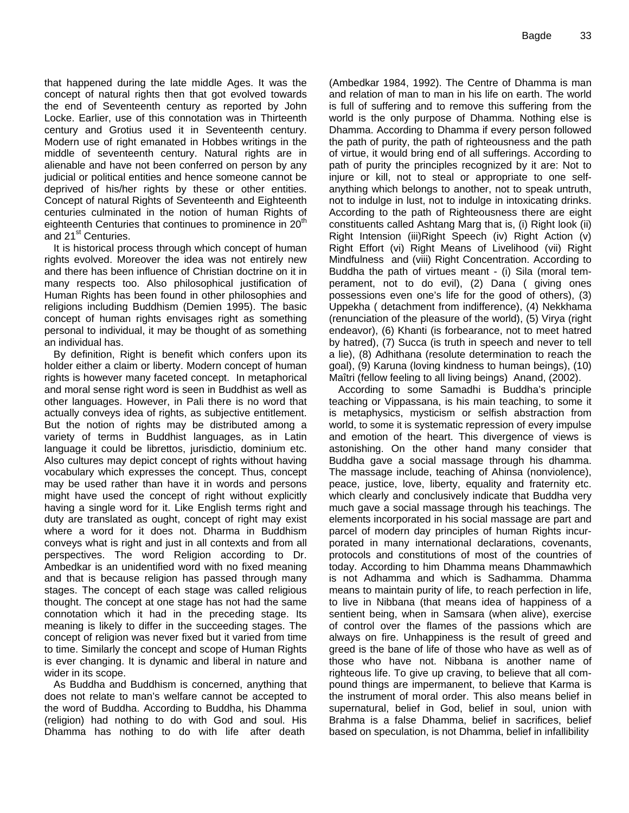that happened during the late middle Ages. It was the concept of natural rights then that got evolved towards the end of Seventeenth century as reported by John Locke. Earlier, use of this connotation was in Thirteenth century and Grotius used it in Seventeenth century. Modern use of right emanated in Hobbes writings in the middle of seventeenth century. Natural rights are in alienable and have not been conferred on person by any judicial or political entities and hence someone cannot be deprived of his/her rights by these or other entities. Concept of natural Rights of Seventeenth and Eighteenth centuries culminated in the notion of human Rights of eighteenth Centuries that continues to prominence in  $20<sup>m</sup>$ and 21<sup>st</sup> Centuries.

It is historical process through which concept of human rights evolved. Moreover the idea was not entirely new and there has been influence of Christian doctrine on it in many respects too. Also philosophical justification of Human Rights has been found in other philosophies and religions including Buddhism (Demien 1995). The basic concept of human rights envisages right as something personal to individual, it may be thought of as something an individual has.

By definition, Right is benefit which confers upon its holder either a claim or liberty. Modern concept of human rights is however many faceted concept. In metaphorical and moral sense right word is seen in Buddhist as well as other languages. However, in Pali there is no word that actually conveys idea of rights, as subjective entitlement. But the notion of rights may be distributed among a variety of terms in Buddhist languages, as in Latin language it could be librettos, jurisdictio, dominium etc. Also cultures may depict concept of rights without having vocabulary which expresses the concept. Thus, concept may be used rather than have it in words and persons might have used the concept of right without explicitly having a single word for it. Like English terms right and duty are translated as ought, concept of right may exist where a word for it does not. Dharma in Buddhism conveys what is right and just in all contexts and from all perspectives. The word Religion according to Dr. Ambedkar is an unidentified word with no fixed meaning and that is because religion has passed through many stages. The concept of each stage was called religious thought. The concept at one stage has not had the same connotation which it had in the preceding stage. Its meaning is likely to differ in the succeeding stages. The concept of religion was never fixed but it varied from time to time. Similarly the concept and scope of Human Rights is ever changing. It is dynamic and liberal in nature and wider in its scope.

As Buddha and Buddhism is concerned, anything that does not relate to man's welfare cannot be accepted to the word of Buddha. According to Buddha, his Dhamma (religion) had nothing to do with God and soul. His Dhamma has nothing to do with life after death

(Ambedkar 1984, 1992). The Centre of Dhamma is man and relation of man to man in his life on earth. The world is full of suffering and to remove this suffering from the world is the only purpose of Dhamma. Nothing else is Dhamma. According to Dhamma if every person followed the path of purity, the path of righteousness and the path of virtue, it would bring end of all sufferings. According to path of purity the principles recognized by it are: Not to injure or kill, not to steal or appropriate to one selfanything which belongs to another, not to speak untruth, not to indulge in lust, not to indulge in intoxicating drinks. According to the path of Righteousness there are eight constituents called Ashtang Marg that is, (i) Right look (ii) Right Intension (iii)Right Speech (iv) Right Action (v) Right Effort (vi) Right Means of Livelihood (vii) Right Mindfulness and (viii) Right Concentration. According to Buddha the path of virtues meant - (i) Sila (moral temperament, not to do evil), (2) Dana ( giving ones possessions even one's life for the good of others), (3) Uppekha ( detachment from indifference), (4) Nekkhama (renunciation of the pleasure of the world), (5) Virya (right endeavor), (6) Khanti (is forbearance, not to meet hatred by hatred), (7) Succa (is truth in speech and never to tell a lie), (8) Adhithana (resolute determination to reach the goal), (9) Karuna (loving kindness to human beings), (10) Maîtri (fellow feeling to all living beings) Anand, (2002).

According to some Samadhi is Buddha's principle teaching or Vippassana, is his main teaching, to some it is metaphysics, mysticism or selfish abstraction from world, to some it is systematic repression of every impulse and emotion of the heart. This divergence of views is astonishing. On the other hand many consider that Buddha gave a social massage through his dhamma. The massage include, teaching of Ahinsa (nonviolence), peace, justice, love, liberty, equality and fraternity etc. which clearly and conclusively indicate that Buddha very much gave a social massage through his teachings. The elements incorporated in his social massage are part and parcel of modern day principles of human Rights incurporated in many international declarations, covenants, protocols and constitutions of most of the countries of today. According to him Dhamma means Dhammawhich is not Adhamma and which is Sadhamma. Dhamma means to maintain purity of life, to reach perfection in life, to live in Nibbana (that means idea of happiness of a sentient being, when in Samsara (when alive), exercise of control over the flames of the passions which are always on fire. Unhappiness is the result of greed and greed is the bane of life of those who have as well as of those who have not. Nibbana is another name of righteous life. To give up craving, to believe that all compound things are impermanent, to believe that Karma is the instrument of moral order. This also means belief in supernatural, belief in God, belief in soul, union with Brahma is a false Dhamma, belief in sacrifices, belief based on speculation, is not Dhamma, belief in infallibility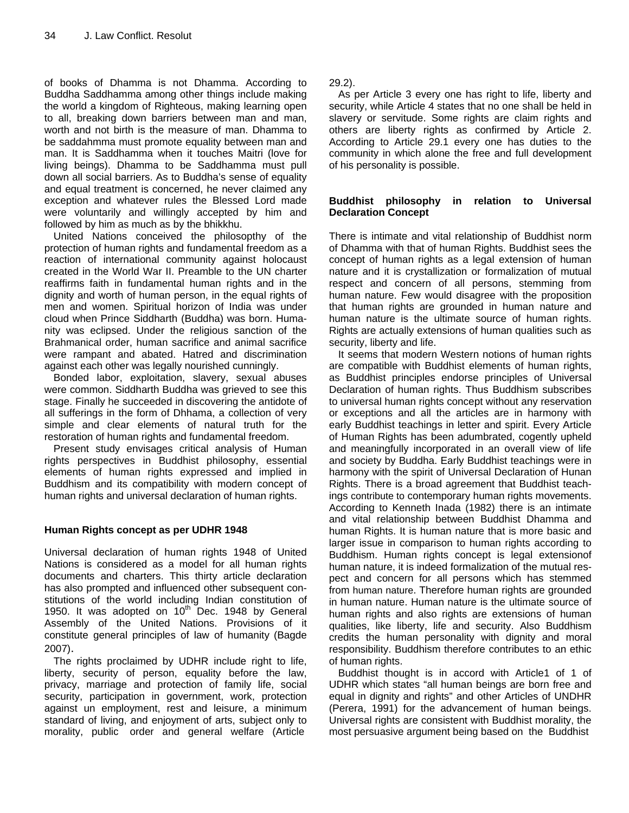of books of Dhamma is not Dhamma. According to Buddha Saddhamma among other things include making the world a kingdom of Righteous, making learning open to all, breaking down barriers between man and man, worth and not birth is the measure of man. Dhamma to be saddahmma must promote equality between man and man. It is Saddhamma when it touches Maitri (love for living beings). Dhamma to be Saddhamma must pull down all social barriers. As to Buddha's sense of equality and equal treatment is concerned, he never claimed any exception and whatever rules the Blessed Lord made were voluntarily and willingly accepted by him and followed by him as much as by the bhikkhu.

United Nations conceived the philosopthy of the protection of human rights and fundamental freedom as a reaction of international community against holocaust created in the World War II. Preamble to the UN charter reaffirms faith in fundamental human rights and in the dignity and worth of human person, in the equal rights of men and women. Spiritual horizon of India was under cloud when Prince Siddharth (Buddha) was born. Humanity was eclipsed. Under the religious sanction of the Brahmanical order, human sacrifice and animal sacrifice were rampant and abated. Hatred and discrimination against each other was legally nourished cunningly.

Bonded labor, exploitation, slavery, sexual abuses were common. Siddharth Buddha was grieved to see this stage. Finally he succeeded in discovering the antidote of all sufferings in the form of Dhhama, a collection of very simple and clear elements of natural truth for the restoration of human rights and fundamental freedom.

Present study envisages critical analysis of Human rights perspectives in Buddhist philosophy, essential elements of human rights expressed and implied in Buddhism and its compatibility with modern concept of human rights and universal declaration of human rights.

### **Human Rights concept as per UDHR 1948**

Universal declaration of human rights 1948 of United Nations is considered as a model for all human rights documents and charters. This thirty article declaration has also prompted and influenced other subsequent constitutions of the world including Indian constitution of 1950. It was adopted on  $10^{th}$  Dec. 1948 by General Assembly of the United Nations. Provisions of it constitute general principles of law of humanity (Bagde

2007). The rights proclaimed by UDHR include right to life, liberty, security of person, equality before the law, privacy, marriage and protection of family life, social security, participation in government, work, protection against un employment, rest and leisure, a minimum standard of living, and enjoyment of arts, subject only to morality, public order and general welfare (Article

29.2).

As per Article 3 every one has right to life, liberty and security, while Article 4 states that no one shall be held in slavery or servitude. Some rights are claim rights and others are liberty rights as confirmed by Article 2. According to Article 29.1 every one has duties to the community in which alone the free and full development of his personality is possible.

## **Buddhist philosophy in relation to Universal Declaration Concept**

There is intimate and vital relationship of Buddhist norm of Dhamma with that of human Rights. Buddhist sees the concept of human rights as a legal extension of human nature and it is crystallization or formalization of mutual respect and concern of all persons, stemming from human nature. Few would disagree with the proposition that human rights are grounded in human nature and human nature is the ultimate source of human rights. Rights are actually extensions of human qualities such as security, liberty and life.

It seems that modern Western notions of human rights are compatible with Buddhist elements of human rights, as Buddhist principles endorse principles of Universal Declaration of human rights. Thus Buddhism subscribes to universal human rights concept without any reservation or exceptions and all the articles are in harmony with early Buddhist teachings in letter and spirit. Every Article of Human Rights has been adumbrated, cogently upheld and meaningfully incorporated in an overall view of life and society by Buddha. Early Buddhist teachings were in harmony with the spirit of Universal Declaration of Hunan Rights. There is a broad agreement that Buddhist teachings contribute to contemporary human rights movements. According to Kenneth Inada (1982) there is an intimate and vital relationship between Buddhist Dhamma and human Rights. It is human nature that is more basic and larger issue in comparison to human rights according to Buddhism. Human rights concept is legal extensionof human nature, it is indeed formalization of the mutual respect and concern for all persons which has stemmed from human nature. Therefore human rights are grounded in human nature. Human nature is the ultimate source of human rights and also rights are extensions of human qualities, like liberty, life and security. Also Buddhism credits the human personality with dignity and moral responsibility. Buddhism therefore contributes to an ethic of human rights.

Buddhist thought is in accord with Article1 of 1 of UDHR which states "all human beings are born free and equal in dignity and rights" and other Articles of UNDHR (Perera, 1991) for the advancement of human beings. Universal rights are consistent with Buddhist morality, the most persuasive argument being based on the Buddhist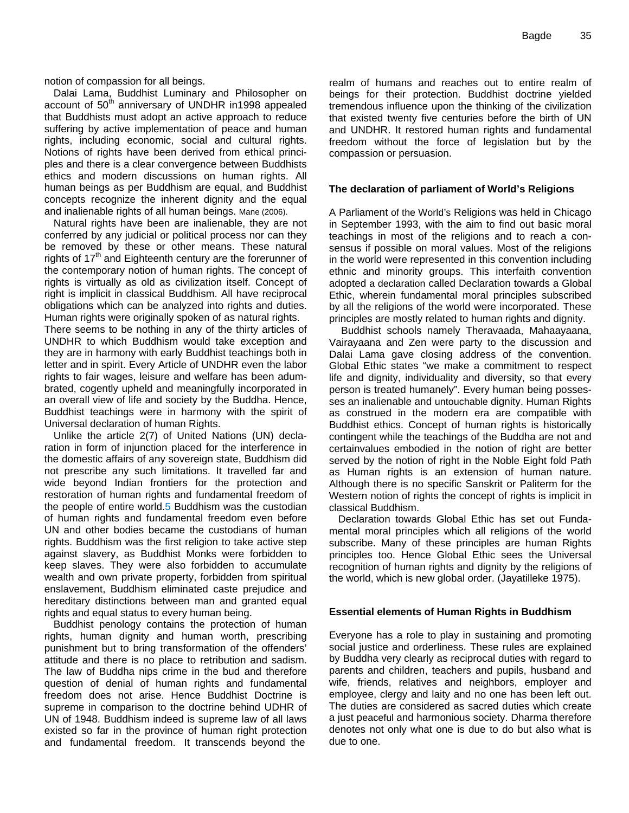notion of compassion for all beings.

Dalai Lama, Buddhist Luminary and Philosopher on account of  $50<sup>th</sup>$  anniversary of UNDHR in1998 appealed that Buddhists must adopt an active approach to reduce suffering by active implementation of peace and human rights, including economic, social and cultural rights. Notions of rights have been derived from ethical principles and there is a clear convergence between Buddhists ethics and modern discussions on human rights. All human beings as per Buddhism are equal, and Buddhist concepts recognize the inherent dignity and the equal and inalienable rights of all human beings. Mane (2006).

Natural rights have been are inalienable, they are not conferred by any judicial or political process nor can they be removed by these or other means. These natural rights of  $17<sup>th</sup>$  and Eighteenth century are the forerunner of the contemporary notion of human rights. The concept of rights is virtually as old as civilization itself. Concept of right is implicit in classical Buddhism. All have reciprocal obligations which can be analyzed into rights and duties. Human rights were originally spoken of as natural rights.

There seems to be nothing in any of the thirty articles of UNDHR to which Buddhism would take exception and they are in harmony with early Buddhist teachings both in letter and in spirit. Every Article of UNDHR even the labor rights to fair wages, leisure and welfare has been adumbrated, cogently upheld and meaningfully incorporated in an overall view of life and society by the Buddha. Hence, Buddhist teachings were in harmony with the spirit of Universal declaration of human Rights.

Unlike the article 2(7) of United Nations (UN) declaration in form of injunction placed for the interference in the domestic affairs of any sovereign state, Buddhism did not prescribe any such limitations. It travelled far and wide beyond Indian frontiers for the protection and restoration of human rights and fundamental freedom of the people of entire world.5 Buddhism was the custodian of human rights and fundamental freedom even before UN and other bodies became the custodians of human rights. Buddhism was the first religion to take active step against slavery, as Buddhist Monks were forbidden to keep slaves. They were also forbidden to accumulate wealth and own private property, forbidden from spiritual enslavement, Buddhism eliminated caste prejudice and hereditary distinctions between man and granted equal rights and equal status to every human being.

Buddhist penology contains the protection of human rights, human dignity and human worth, prescribing punishment but to bring transformation of the offenders' attitude and there is no place to retribution and sadism. The law of Buddha nips crime in the bud and therefore question of denial of human rights and fundamental freedom does not arise. Hence Buddhist Doctrine is supreme in comparison to the doctrine behind UDHR of UN of 1948. Buddhism indeed is supreme law of all laws existed so far in the province of human right protection and fundamental freedom. It transcends beyond the

realm of humans and reaches out to entire realm of beings for their protection. Buddhist doctrine yielded tremendous influence upon the thinking of the civilization that existed twenty five centuries before the birth of UN and UNDHR. It restored human rights and fundamental freedom without the force of legislation but by the compassion or persuasion.

#### **The declaration of parliament of World's Religions**

A Parliament of the World's Religions was held in Chicago in September 1993, with the aim to find out basic moral teachings in most of the religions and to reach a consensus if possible on moral values. Most of the religions in the world were represented in this convention including ethnic and minority groups. This interfaith convention adopted a declaration called Declaration towards a Global Ethic, wherein fundamental moral principles subscribed by all the religions of the world were incorporated. These principles are mostly related to human rights and dignity.

 Buddhist schools namely Theravaada, Mahaayaana, Vairayaana and Zen were party to the discussion and Dalai Lama gave closing address of the convention. Global Ethic states "we make a commitment to respect life and dignity, individuality and diversity, so that every person is treated humanely". Every human being possesses an inalienable and untouchable dignity. Human Rights as construed in the modern era are compatible with Buddhist ethics. Concept of human rights is historically contingent while the teachings of the Buddha are not and certainvalues embodied in the notion of right are better served by the notion of right in the Noble Eight fold Path as Human rights is an extension of human nature. Although there is no specific Sanskrit or Paliterm for the Western notion of rights the concept of rights is implicit in classical Buddhism.

Declaration towards Global Ethic has set out Fundamental moral principles which all religions of the world subscribe. Many of these principles are human Rights principles too. Hence Global Ethic sees the Universal recognition of human rights and dignity by the religions of the world, which is new global order. (Jayatilleke 1975).

#### **Essential elements of Human Rights in Buddhism**

Everyone has a role to play in sustaining and promoting social justice and orderliness. These rules are explained by Buddha very clearly as reciprocal duties with regard to parents and children, teachers and pupils, husband and wife, friends, relatives and neighbors, employer and employee, clergy and laity and no one has been left out. The duties are considered as sacred duties which create a just peaceful and harmonious society. Dharma therefore denotes not only what one is due to do but also what is due to one.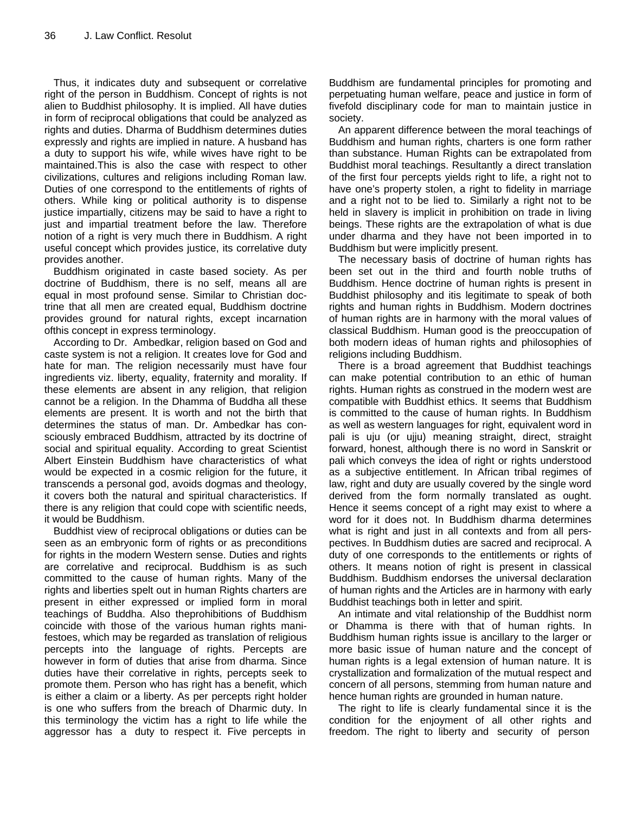Thus, it indicates duty and subsequent or correlative right of the person in Buddhism. Concept of rights is not alien to Buddhist philosophy. It is implied. All have duties in form of reciprocal obligations that could be analyzed as rights and duties. Dharma of Buddhism determines duties expressly and rights are implied in nature. A husband has a duty to support his wife, while wives have right to be maintained.This is also the case with respect to other civilizations, cultures and religions including Roman law. Duties of one correspond to the entitlements of rights of others. While king or political authority is to dispense justice impartially, citizens may be said to have a right to just and impartial treatment before the law. Therefore notion of a right is very much there in Buddhism. A right useful concept which provides justice, its correlative duty provides another.

Buddhism originated in caste based society. As per doctrine of Buddhism, there is no self, means all are equal in most profound sense. Similar to Christian doctrine that all men are created equal, Buddhism doctrine provides ground for natural rights, except incarnation ofthis concept in express terminology.

According to Dr. Ambedkar, religion based on God and caste system is not a religion. It creates love for God and hate for man. The religion necessarily must have four ingredients viz. liberty, equality, fraternity and morality. If these elements are absent in any religion, that religion cannot be a religion. In the Dhamma of Buddha all these elements are present. It is worth and not the birth that determines the status of man. Dr. Ambedkar has consciously embraced Buddhism, attracted by its doctrine of social and spiritual equality. According to great Scientist Albert Einstein Buddhism have characteristics of what would be expected in a cosmic religion for the future, it transcends a personal god, avoids dogmas and theology, it covers both the natural and spiritual characteristics. If there is any religion that could cope with scientific needs, it would be Buddhism.

Buddhist view of reciprocal obligations or duties can be seen as an embryonic form of rights or as preconditions for rights in the modern Western sense. Duties and rights are correlative and reciprocal. Buddhism is as such committed to the cause of human rights. Many of the rights and liberties spelt out in human Rights charters are present in either expressed or implied form in moral teachings of Buddha. Also theprohibitions of Buddhism coincide with those of the various human rights manifestoes, which may be regarded as translation of religious percepts into the language of rights. Percepts are however in form of duties that arise from dharma. Since duties have their correlative in rights, percepts seek to promote them. Person who has right has a benefit, which is either a claim or a liberty. As per percepts right holder is one who suffers from the breach of Dharmic duty. In this terminology the victim has a right to life while the aggressor has a duty to respect it. Five percepts in

Buddhism are fundamental principles for promoting and perpetuating human welfare, peace and justice in form of fivefold disciplinary code for man to maintain justice in society.

An apparent difference between the moral teachings of Buddhism and human rights, charters is one form rather than substance. Human Rights can be extrapolated from Buddhist moral teachings. Resultantly a direct translation of the first four percepts yields right to life, a right not to have one's property stolen, a right to fidelity in marriage and a right not to be lied to. Similarly a right not to be held in slavery is implicit in prohibition on trade in living beings. These rights are the extrapolation of what is due under dharma and they have not been imported in to Buddhism but were implicitly present.

The necessary basis of doctrine of human rights has been set out in the third and fourth noble truths of Buddhism. Hence doctrine of human rights is present in Buddhist philosophy and itis legitimate to speak of both rights and human rights in Buddhism. Modern doctrines of human rights are in harmony with the moral values of classical Buddhism. Human good is the preoccupation of both modern ideas of human rights and philosophies of religions including Buddhism.

There is a broad agreement that Buddhist teachings can make potential contribution to an ethic of human rights. Human rights as construed in the modern west are compatible with Buddhist ethics. It seems that Buddhism is committed to the cause of human rights. In Buddhism as well as western languages for right, equivalent word in pali is uju (or ujju) meaning straight, direct, straight forward, honest, although there is no word in Sanskrit or pali which conveys the idea of right or rights understood as a subjective entitlement. In African tribal regimes of law, right and duty are usually covered by the single word derived from the form normally translated as ought. Hence it seems concept of a right may exist to where a word for it does not. In Buddhism dharma determines what is right and just in all contexts and from all perspectives. In Buddhism duties are sacred and reciprocal. A duty of one corresponds to the entitlements or rights of others. It means notion of right is present in classical Buddhism. Buddhism endorses the universal declaration of human rights and the Articles are in harmony with early Buddhist teachings both in letter and spirit.

An intimate and vital relationship of the Buddhist norm or Dhamma is there with that of human rights. In Buddhism human rights issue is ancillary to the larger or more basic issue of human nature and the concept of human rights is a legal extension of human nature. It is crystallization and formalization of the mutual respect and concern of all persons, stemming from human nature and hence human rights are grounded in human nature.

The right to life is clearly fundamental since it is the condition for the enjoyment of all other rights and freedom. The right to liberty and security of person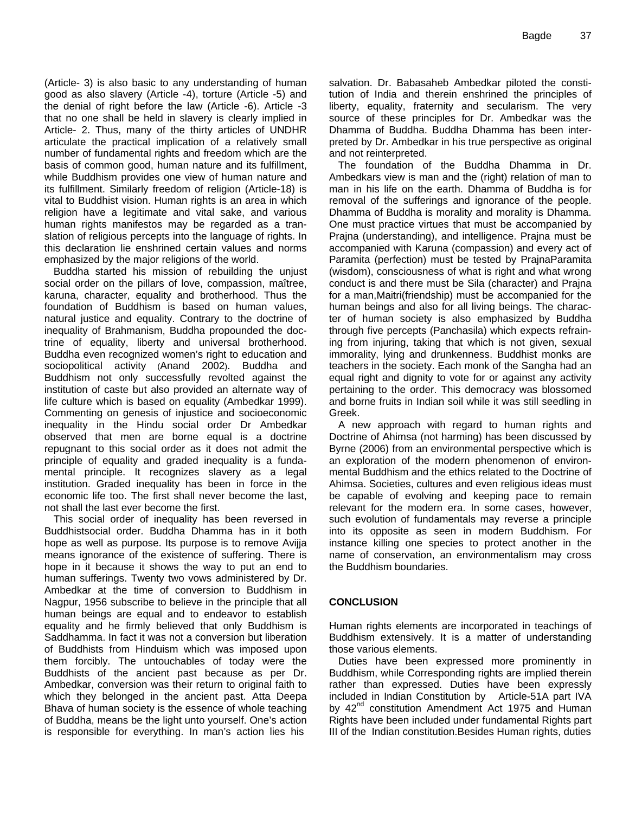(Article- 3) is also basic to any understanding of human good as also slavery (Article -4), torture (Article -5) and the denial of right before the law (Article -6). Article -3 that no one shall be held in slavery is clearly implied in Article- 2. Thus, many of the thirty articles of UNDHR articulate the practical implication of a relatively small number of fundamental rights and freedom which are the basis of common good, human nature and its fulfillment, while Buddhism provides one view of human nature and its fulfillment. Similarly freedom of religion (Article-18) is vital to Buddhist vision. Human rights is an area in which religion have a legitimate and vital sake, and various human rights manifestos may be regarded as a translation of religious percepts into the language of rights. In this declaration lie enshrined certain values and norms emphasized by the major religions of the world.

Buddha started his mission of rebuilding the unjust social order on the pillars of love, compassion, maîtree, karuna, character, equality and brotherhood. Thus the foundation of Buddhism is based on human values, natural justice and equality. Contrary to the doctrine of inequality of Brahmanism, Buddha propounded the doctrine of equality, liberty and universal brotherhood. Buddha even recognized women's right to education and sociopolitical activity (Anand 2002). Buddha and Buddhism not only successfully revolted against the institution of caste but also provided an alternate way of life culture which is based on equality (Ambedkar 1999). Commenting on genesis of injustice and socioeconomic inequality in the Hindu social order Dr Ambedkar observed that men are borne equal is a doctrine repugnant to this social order as it does not admit the principle of equality and graded inequality is a fundamental principle. It recognizes slavery as a legal institution. Graded inequality has been in force in the economic life too. The first shall never become the last, not shall the last ever become the first.

This social order of inequality has been reversed in Buddhistsocial order. Buddha Dhamma has in it both hope as well as purpose. Its purpose is to remove Avijja means ignorance of the existence of suffering. There is hope in it because it shows the way to put an end to human sufferings. Twenty two vows administered by Dr. Ambedkar at the time of conversion to Buddhism in Nagpur, 1956 subscribe to believe in the principle that all human beings are equal and to endeavor to establish equality and he firmly believed that only Buddhism is Saddhamma. In fact it was not a conversion but liberation of Buddhists from Hinduism which was imposed upon them forcibly. The untouchables of today were the Buddhists of the ancient past because as per Dr. Ambedkar, conversion was their return to original faith to which they belonged in the ancient past. Atta Deepa Bhava of human society is the essence of whole teaching of Buddha, means be the light unto yourself. One's action is responsible for everything. In man's action lies his

salvation. Dr. Babasaheb Ambedkar piloted the constitution of India and therein enshrined the principles of liberty, equality, fraternity and secularism. The very source of these principles for Dr. Ambedkar was the Dhamma of Buddha. Buddha Dhamma has been interpreted by Dr. Ambedkar in his true perspective as original and not reinterpreted.

The foundation of the Buddha Dhamma in Dr. Ambedkars view is man and the (right) relation of man to man in his life on the earth. Dhamma of Buddha is for removal of the sufferings and ignorance of the people. Dhamma of Buddha is morality and morality is Dhamma. One must practice virtues that must be accompanied by Prajna (understanding), and intelligence. Prajna must be accompanied with Karuna (compassion) and every act of Paramita (perfection) must be tested by PrajnaParamita (wisdom), consciousness of what is right and what wrong conduct is and there must be Sila (character) and Prajna for a man,Maitri(friendship) must be accompanied for the human beings and also for all living beings. The character of human society is also emphasized by Buddha through five percepts (Panchasila) which expects refraining from injuring, taking that which is not given, sexual immorality, lying and drunkenness. Buddhist monks are teachers in the society. Each monk of the Sangha had an equal right and dignity to vote for or against any activity pertaining to the order. This democracy was blossomed and borne fruits in Indian soil while it was still seedling in Greek.

A new approach with regard to human rights and Doctrine of Ahimsa (not harming) has been discussed by Byrne (2006) from an environmental perspective which is an exploration of the modern phenomenon of environmental Buddhism and the ethics related to the Doctrine of Ahimsa. Societies, cultures and even religious ideas must be capable of evolving and keeping pace to remain relevant for the modern era. In some cases, however, such evolution of fundamentals may reverse a principle into its opposite as seen in modern Buddhism. For instance killing one species to protect another in the name of conservation, an environmentalism may cross the Buddhism boundaries.

### **CONCLUSION**

Human rights elements are incorporated in teachings of Buddhism extensively. It is a matter of understanding those various elements.

Duties have been expressed more prominently in Buddhism, while Corresponding rights are implied therein rather than expressed. Duties have been expressly included in Indian Constitution by Article-51A part IVA by 42<sup>nd</sup> constitution Amendment Act 1975 and Human Rights have been included under fundamental Rights part III of the Indian constitution.Besides Human rights, duties